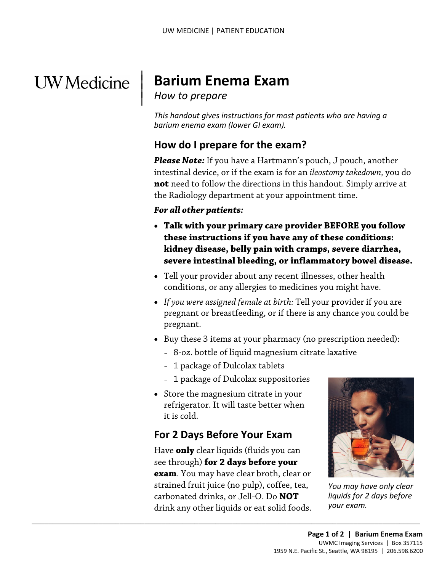# **UW** Medicine

## | **Barium Enema Exam**

**How to prepare** 

 $\overline{\phantom{a}}$ 

 *barium enema exam (lower GI exam). This handout gives instructions for most patients who are having a* 

#### **How do I prepare for the exam?**

*Please Note:* If you have a Hartmann's pouch, J pouch, another intestinal device, or if the exam is for an *ileostomy takedown,* you do **not** need to follow the directions in this handout. Simply arrive at the Radiology department at your appointment time.

#### *For all other patients:*

- **kidney disease, belly pain with cramps, severe diarrhea,**  • **Talk with your primary care provider BEFORE you follow these instructions if you have any of these conditions: severe intestinal bleeding, or inflammatory bowel disease.**
- conditions, or any allergies to medicines you might have. • Tell your provider about any recent illnesses, other health
- *If you were assigned female at birth:* Tell your provider if you are pregnant or breastfeeding, or if there is any chance you could be pregnant.
- • Buy these 3 items at your pharmacy (no prescription needed):
	- 8-oz. bottle of liquid magnesium citrate laxative
	- 1 package of Dulcolax tablets
	- 1 package of Dulcolax suppositories
- Store the magnesium citrate in your refrigerator. It will taste better when it is cold.

### **For 2 Days Before Your Exam**

 Have **only** clear liquids (fluids you can **exam**. You may have clear broth, clear or strained fruit juice (no pulp), coffee, tea, carbonated drinks, or Jell-O. Do **NOT**  drink any other liquids or eat solid foods. see through) **for 2 days before your** 

 $\_$  ,  $\_$  ,  $\_$  ,  $\_$  ,  $\_$  ,  $\_$  ,  $\_$  ,  $\_$  ,  $\_$  ,  $\_$  ,  $\_$  ,  $\_$  ,  $\_$  ,  $\_$  ,  $\_$  ,  $\_$  ,  $\_$  ,  $\_$  ,  $\_$  ,  $\_$  ,  $\_$  ,  $\_$  ,  $\_$  ,  $\_$  ,  $\_$  ,  $\_$  ,  $\_$  ,  $\_$  ,  $\_$  ,  $\_$  ,  $\_$  ,  $\_$  ,  $\_$  ,  $\_$  ,  $\_$  ,  $\_$  ,  $\_$  ,



*You may have only clear liquids for 2 days before your exam.*